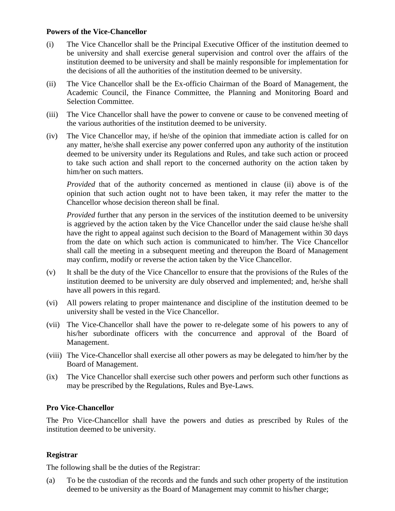## **Powers of the Vice-Chancellor**

- (i) The Vice Chancellor shall be the Principal Executive Officer of the institution deemed to be university and shall exercise general supervision and control over the affairs of the institution deemed to be university and shall be mainly responsible for implementation for the decisions of all the authorities of the institution deemed to be university.
- (ii) The Vice Chancellor shall be the Ex-officio Chairman of the Board of Management, the Academic Council, the Finance Committee, the Planning and Monitoring Board and Selection Committee.
- (iii) The Vice Chancellor shall have the power to convene or cause to be convened meeting of the various authorities of the institution deemed to be university.
- (iv) The Vice Chancellor may, if he/she of the opinion that immediate action is called for on any matter, he/she shall exercise any power conferred upon any authority of the institution deemed to be university under its Regulations and Rules, and take such action or proceed to take such action and shall report to the concerned authority on the action taken by him/her on such matters.

*Provided* that of the authority concerned as mentioned in clause (ii) above is of the opinion that such action ought not to have been taken, it may refer the matter to the Chancellor whose decision thereon shall be final.

*Provided* further that any person in the services of the institution deemed to be university is aggrieved by the action taken by the Vice Chancellor under the said clause he/she shall have the right to appeal against such decision to the Board of Management within 30 days from the date on which such action is communicated to him/her. The Vice Chancellor shall call the meeting in a subsequent meeting and thereupon the Board of Management may confirm, modify or reverse the action taken by the Vice Chancellor.

- (v) It shall be the duty of the Vice Chancellor to ensure that the provisions of the Rules of the institution deemed to be university are duly observed and implemented; and, he/she shall have all powers in this regard.
- (vi) All powers relating to proper maintenance and discipline of the institution deemed to be university shall be vested in the Vice Chancellor.
- (vii) The Vice-Chancellor shall have the power to re-delegate some of his powers to any of his/her subordinate officers with the concurrence and approval of the Board of Management.
- (viii) The Vice-Chancellor shall exercise all other powers as may be delegated to him/her by the Board of Management.
- (ix) The Vice Chancellor shall exercise such other powers and perform such other functions as may be prescribed by the Regulations, Rules and Bye-Laws.

## **Pro Vice-Chancellor**

The Pro Vice-Chancellor shall have the powers and duties as prescribed by Rules of the institution deemed to be university.

## **Registrar**

The following shall be the duties of the Registrar:

(a) To be the custodian of the records and the funds and such other property of the institution deemed to be university as the Board of Management may commit to his/her charge;